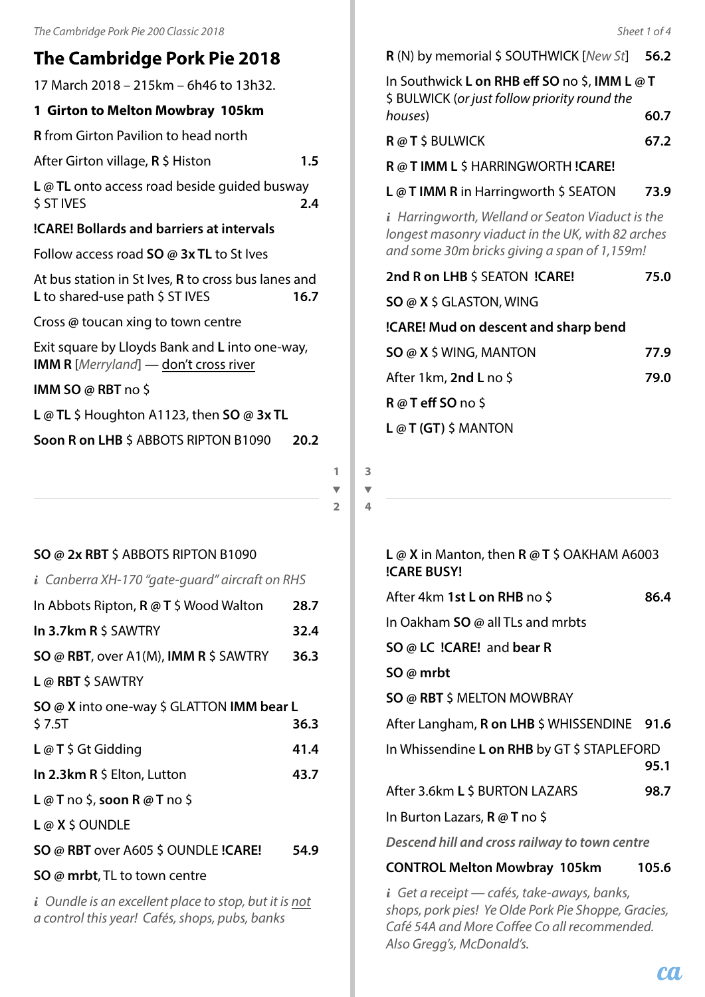# **The Cambridge Pork Pie 2018**

17 March 2018 – 215km – 6h46 to 13h32.

# **1 Girton to Melton Mowbray 105km**

**R** from Girton Pavilion to head north

After Girton village, **R** \$ Histon **1.5**

**L @ TL** onto access road beside guided busway \$ ST IVES **2.4**

# **!CARE! Bollards and barriers at intervals**

Follow access road **SO @ 3x TL** to St Ives

At bus station in St Ives, **R** to cross bus lanes and L to shared-use path \$ ST IVES **16.7** 

Cross **@** toucan xing to town centre

Exit square by Lloyds Bank and **L** into one-way, **IMM R** [*Merryland*] — don't cross river

**IMM SO @ RBT** no \$

**L @ TL** \$ Houghton A1123, then **SO @ 3x TL**

# **Soon R on LHB** \$ ABBOTS RIPTON B1090 **20.2**

**1**  $\overline{\phantom{0}}$ 

**2**

## **SO @ 2x RBT** \$ ABBOTS RIPTON B1090

| $i$ Canberra XH-170 "gate-guard" aircraft on RHS                                                          |      |
|-----------------------------------------------------------------------------------------------------------|------|
| In Abbots Ripton, R @ T \$ Wood Walton                                                                    | 28.7 |
| In 3.7km R \$ SAWTRY                                                                                      | 32.4 |
| SO @ RBT, over A1(M), IMM R \$ SAWTRY                                                                     | 36.3 |
| $L$ @ RBT \$ SAWTRY                                                                                       |      |
| SO @ X into one-way \$ GLATTON IMM bear L<br>\$7.5T                                                       | 36.3 |
| <b>L</b> $@$ <b>T</b> $\zeta$ Gt Gidding                                                                  | 41.4 |
| In 2.3km $R \text{ } 5$ Elton, Lutton                                                                     | 43.7 |
| L @ T no \$, soon R @ T no \$                                                                             |      |
| $L@X$$ \$ OUNDLE                                                                                          |      |
| SO @ RBT over A605 \$ OUNDLE !CARE!                                                                       | 54.9 |
| <b>SO @ mrbt</b> , TL to town centre                                                                      |      |
| $i$ Oundle is an excellent place to stop, but it is not<br>a control this year! Cafés, shops, pubs, banks |      |

**R** (N) by memorial \$ SOUTHWICK [*New St*] **56.2**

| In Southwick <b>L on RHB eff SO</b> no \$, <b>IMM L</b> @ <b>T</b><br>\$ BULWICK (or just follow priority round the |      |
|---------------------------------------------------------------------------------------------------------------------|------|
| houses)                                                                                                             | 60.7 |
| <b>R</b> @ <b>T</b> \$ BULWICK                                                                                      | 67.2 |
| R @ T IMM L \$ HARRINGWORTH !CARE!                                                                                  |      |
| <b>L</b> @ <b>T IMM R</b> in Harringworth $\frac{1}{2}$ SEATON                                                      | 73.9 |

*i Harringworth, Welland or Seaton Viaduct is the longest masonry viaduct in the UK, with 82 arches and some 30m bricks giving a span of 1,159m!*

| 2nd R on LHB \$ SEATON !CARE!        | 75.0 |
|--------------------------------------|------|
| <b>SO @ X \$ GLASTON, WING</b>       |      |
| !CARE! Mud on descent and sharp bend |      |
| $SO \omega X$ \$ WING, MANTON        | 77.9 |
| After 1km, 2nd L no \$               | 79.0 |
| $R@T$ eff SO no \$                   |      |
| $L@T(GT)$ \$ MANTON                  |      |

**3**  $\overline{\phantom{0}}$ **4**

## **L @ X** in Manton, then **R @ T** \$ OAKHAM A6003 **!CARE BUSY!** After 4km **1st L on RHB** no \$ **86.4**

| After 4km 1 <b>st L on RHB</b> no \$          | 86.4  |
|-----------------------------------------------|-------|
| In Oakham SO @ all TLs and mrbts              |       |
| SO @ LC !CARE! and bear R                     |       |
| SO @ mrbt                                     |       |
| <b>SO @ RBT \$ MELTON MOWBRAY</b>             |       |
| After Langham, R on LHB \$ WHISSENDINE 91.6   |       |
| In Whissendine L on RHB by GT \$ STAPLEFORD   | 95.1  |
| After 3.6km L \$ BURTON LAZARS                | 98.7  |
| In Burton Lazars, <b>R</b> @ <b>T</b> no \$   |       |
| Descend hill and cross railway to town centre |       |
| <b>CONTROL Melton Mowbray 105km</b>           | 105.6 |
| Catavasaint cafóc talco queque hanles         |       |

*i Get a receipt — cafés, take-aways, banks, shops, pork pies! Ye Olde Pork Pie Shoppe, Gracies, Café 54A and More Coffee Co all recommended. Also Gregg's, McDonald's.*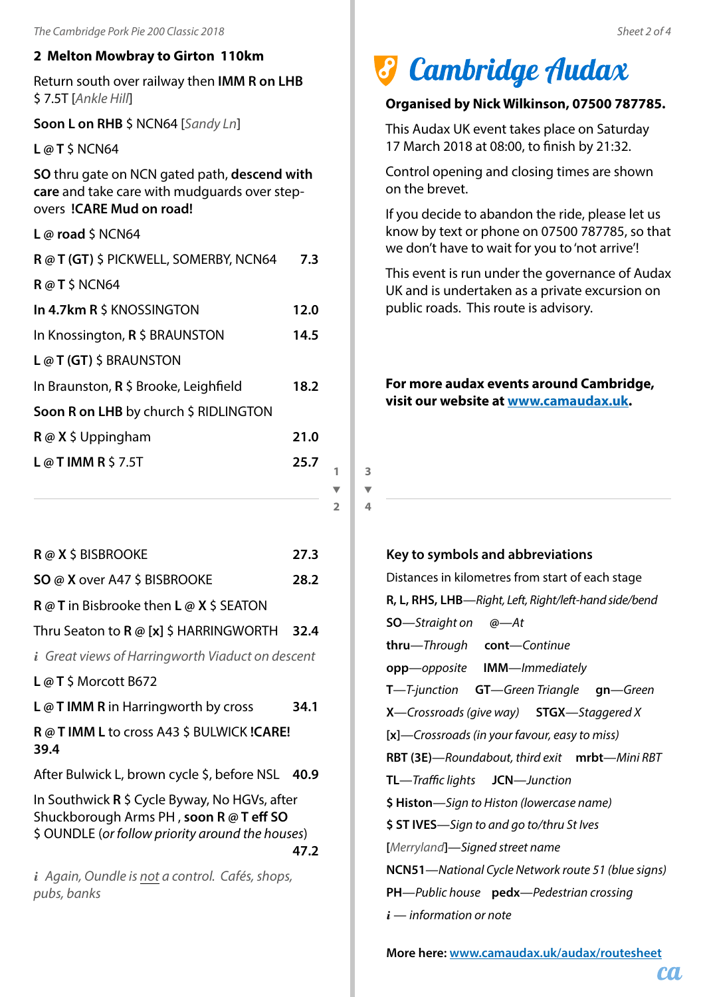#### **2 Melton Mowbray to Girton 110km**

Return south over railway then **IMM R on LHB** \$ 7.5T [*Ankle Hill*]

**Soon L on RHB** \$ NCN64 [*Sandy Ln*]

**L @ T** \$ NCN64

**SO** thru gate on NCN gated path, **descend with care** and take care with mudguards over stepovers **!CARE Mud on road!**

**L @ road** \$ NCN64

| R @ T (GT) \$ PICKWELL, SOMERBY, NCN64  |      |  |  |
|-----------------------------------------|------|--|--|
| R@T\$NCN64                              |      |  |  |
| In 4.7km R \$ KNOSSINGTON               | 12.0 |  |  |
| In Knossington, R \$ BRAUNSTON          | 14.5 |  |  |
| $L@T(GT)$ \$ BRAUNSTON                  |      |  |  |
| In Braunston, $R$ \$ Brooke, Leighfield | 18.2 |  |  |
| Soon R on LHB by church \$ RIDLINGTON   |      |  |  |
| $R \omega X$ \$ Uppingham               | 21.0 |  |  |
| L@TIMMR\$37.5T                          | 25.7 |  |  |
|                                         |      |  |  |
|                                         |      |  |  |

**R @ X** \$ BISBROOKE **27.3 SO @ X** over A47 \$ BISBROOKE **28.2 R @ T** in Bisbrooke then **L @ X** \$ SEATON Thru Seaton to **R @ [x]** \$ HARRINGWORTH **32.4** *i Great views of Harringworth Viaduct on descent* **L @ T** \$ Morcott B672 **L @ T IMM R** in Harringworth by cross **34.1 R @ T IMM L** to cross A43 \$ BULWICK **!CARE! 39.4** After Bulwick L, brown cycle \$, before NSL **40.9** In Southwick **R** \$ Cycle Byway, No HGVs, after Shuckborough Arms PH , **soon R @ T eff SO** \$ OUNDLE (*or follow priority around the houses*) **47.2** *i Again, Oundle is not a control. Cafés, shops, pubs, banks*

# *3 Cambridge Audax*

#### **Organised by Nick Wilkinson, 07500 787785.**

This Audax UK event takes place on Saturday 17 March 2018 at 08:00, to finish by 21:32.

Control opening and closing times are shown on the brevet.

If you decide to abandon the ride, please let us know by text or phone on 07500 787785, so that we don't have to wait for you to 'not arrive'!

This event is run under the governance of Audax UK and is undertaken as a private excursion on public roads. This route is advisory.

**For more audax events around Cambridge, visit our website at www.camaudax.uk.**

#### **Key to symbols and abbreviations**

**3**  $\overline{\phantom{0}}$ **4**

**1**  $\overline{\phantom{a}}$ **2**

> Distances in kilometres from start of each stage **R, L, RHS, LHB**—*Right, Left, Right/left-hand side/bend* **SO**—*Straight on* **@**—*At* **thru**—*Through* **cont**—*Continue* **opp**—*opposite* **IMM**—*Immediately* **T**—*T-junction* **GT**—*Green Triangle* **gn**—*Green* **X**—*Crossroads (give way)* **STGX**—*Staggered X* **[x]**—*Crossroads (in your favour, easy to miss)* **RBT (3E)**—*Roundabout, third exit* **mrbt**—*Mini RBT* **TL**—*Traffic lights* **JCN**—*Junction* **\$ Histon**—*Sign to Histon (lowercase name)* **\$ ST IVES**—*Sign to and go to/thru St Ives* **[***Merryland***]**—*Signed street name* **NCN51**—*National Cycle Network route 51 (blue signs)* **PH**—*Public house* **pedx**—*Pedestrian crossing i* — *information or note*

**More here: www.camaudax.uk/audax/routesheet**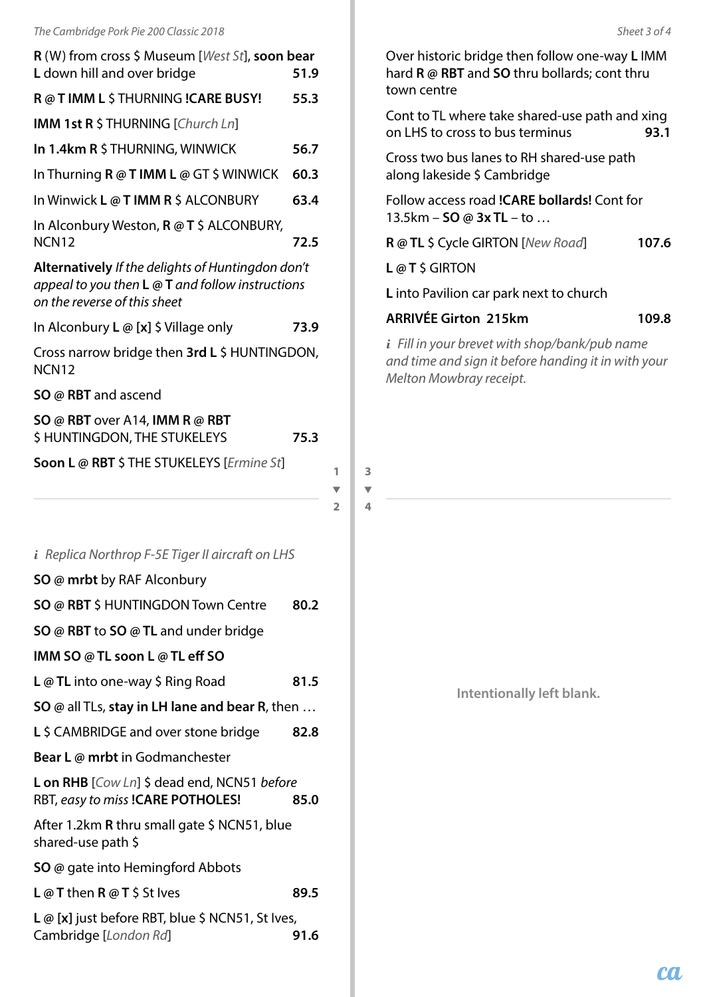| R (W) from cross \$ Museum [West St], soon bear<br>L down hill and over bridge                                                                | 51.9 |   |
|-----------------------------------------------------------------------------------------------------------------------------------------------|------|---|
| R @ T IMM L \$ THURNING ! CARE BUSY!                                                                                                          | 55.3 |   |
| IMM 1st R \$ THURNING [Church Ln]                                                                                                             |      |   |
| In 1.4km R \$ THURNING, WINWICK                                                                                                               | 56.7 |   |
| In Thurning R @ T IMM L @ GT \$ WINWICK                                                                                                       | 60.3 |   |
| In Winwick L @ T IMM R \$ ALCONBURY                                                                                                           | 63.4 |   |
| In Alconbury Weston, R @ T \$ ALCONBURY,<br><b>NCN12</b>                                                                                      | 72.5 |   |
| Alternatively If the delights of Huntingdon don't<br>appeal to you then $L \otimes T$ and follow instructions<br>on the reverse of this sheet |      |   |
| In Alconbury L @ [x] \$ Village only                                                                                                          | 73.9 |   |
| Cross narrow bridge then 3rd L \$ HUNTINGDON,<br>NCN <sub>12</sub>                                                                            |      |   |
| <b>SO</b> @ RBT and ascend                                                                                                                    |      |   |
| SO @ RBT over A14, IMM R @ RBT<br>\$ HUNTINGDON, THE STUKELEYS                                                                                | 75.3 |   |
| Soon L @ RBT \$ THE STUKELEYS [Ermine St]                                                                                                     |      | 1 |
|                                                                                                                                               |      |   |
|                                                                                                                                               |      | 2 |
| <i>i</i> Replica Northrop F-5E Tiger II aircraft on LHS                                                                                       |      |   |
| SO @ mrbt by RAF Alconbury                                                                                                                    |      |   |
| SO @ RBT \$ HUNTINGDON Town Centre                                                                                                            | 80.2 |   |
| SO @ RBT to SO @ TL and under bridge                                                                                                          |      |   |
| IMM SO @ TL soon L @ TL eff SO                                                                                                                |      |   |
| <b>L</b> $@$ TL into one-way \$ Ring Road                                                                                                     | 81.5 |   |
| SO @ all TLs, stay in LH lane and bear R, then                                                                                                |      |   |
| L \$ CAMBRIDGE and over stone bridge                                                                                                          | 82.8 |   |
| <b>Bear L</b> @ mrbt in Godmanchester                                                                                                         |      |   |
| L on RHB [Cow Ln] \$ dead end, NCN51 before<br>RBT, easy to miss !CARE POTHOLES!                                                              | 85.0 |   |
| After 1.2km R thru small gate \$ NCN51, blue<br>shared-use path \$                                                                            |      |   |
| <b>SO</b> @ gate into Hemingford Abbots                                                                                                       |      |   |
| L @ T then R @ T \$ St Ives                                                                                                                   | 89.5 |   |

Over historic bridge then follow one-way **L** IMM hard **R @ RBT** and **SO** thru bollards; cont thru town centre

Cont to TL where take shared-use path and xing on LHS to cross to bus terminus **93.1**

Cross two bus lanes to RH shared-use path along lakeside \$ Cambridge

Follow access road **!CARE bollards!** Cont for 13.5km – **SO @ 3x TL** – to …

**R @ TL** \$ Cycle GIRTON [*New Road*] **107.6**

**L @ T** \$ GIRTON

**3**  $\overline{\mathbf{v}}$ **4** **L** into Pavilion car park next to church

#### **ARRIVÉE Girton 215km 109.8**

*i Fill in your brevet with shop/bank/pub name and time and sign it before handing it in with your Melton Mowbray receipt.*

**Intentionally left blank.**